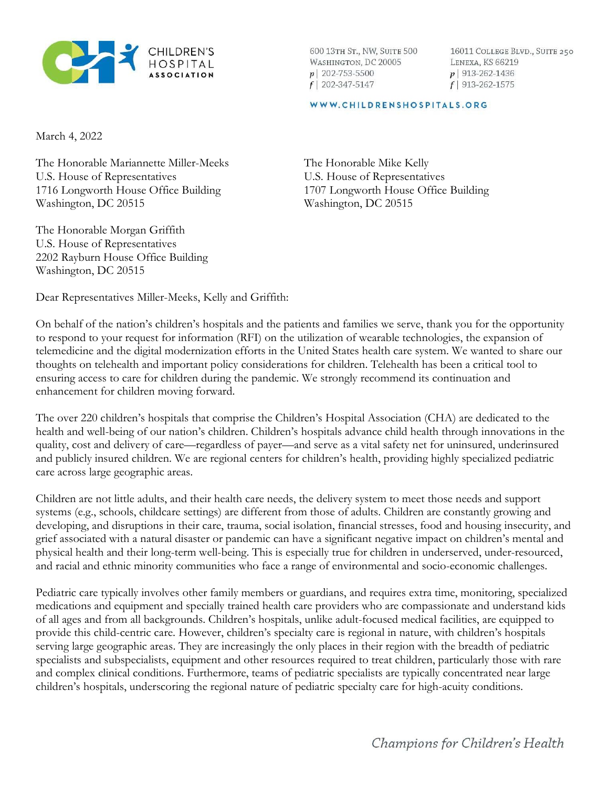

600 13TH ST., NW, SUITE 500 WASHINGTON, DC 20005  $p$ | 202-753-5500  $f$ | 202-347-5147

16011 COLLEGE BLVD., SUITE 250 LENEXA, KS 66219  $p$  913-262-1436  $f$ | 913-262-1575

## WWW.CHILDRENSHOSPITALS.ORG

March 4, 2022

The Honorable Mariannette Miller-Meeks U.S. House of Representatives 1716 Longworth House Office Building Washington, DC 20515

The Honorable Morgan Griffith U.S. House of Representatives 2202 Rayburn House Office Building Washington, DC 20515

The Honorable Mike Kelly U.S. House of Representatives 1707 Longworth House Office Building Washington, DC 20515

Dear Representatives Miller-Meeks, Kelly and Griffith:

On behalf of the nation's children's hospitals and the patients and families we serve, thank you for the opportunity to respond to your request for information (RFI) on the utilization of wearable technologies, the expansion of telemedicine and the digital modernization efforts in the United States health care system. We wanted to share our thoughts on telehealth and important policy considerations for children. Telehealth has been a critical tool to ensuring access to care for children during the pandemic. We strongly recommend its continuation and enhancement for children moving forward.

The over 220 children's hospitals that comprise the Children's Hospital Association (CHA) are dedicated to the health and well-being of our nation's children. Children's hospitals advance child health through innovations in the quality, cost and delivery of care—regardless of payer—and serve as a vital safety net for uninsured, underinsured and publicly insured children. We are regional centers for children's health, providing highly specialized pediatric care across large geographic areas.

Children are not little adults, and their health care needs, the delivery system to meet those needs and support systems (e.g., schools, childcare settings) are different from those of adults. Children are constantly growing and developing, and disruptions in their care, trauma, social isolation, financial stresses, food and housing insecurity, and grief associated with a natural disaster or pandemic can have a significant negative impact on children's mental and physical health and their long-term well-being. This is especially true for children in underserved, under-resourced, and racial and ethnic minority communities who face a range of environmental and socio-economic challenges.

Pediatric care typically involves other family members or guardians, and requires extra time, monitoring, specialized medications and equipment and specially trained health care providers who are compassionate and understand kids of all ages and from all backgrounds. Children's hospitals, unlike adult-focused medical facilities, are equipped to provide this child-centric care. However, children's specialty care is regional in nature, with children's hospitals serving large geographic areas. They are increasingly the only places in their region with the breadth of pediatric specialists and subspecialists, equipment and other resources required to treat children, particularly those with rare and complex clinical conditions. Furthermore, teams of pediatric specialists are typically concentrated near large children's hospitals, underscoring the regional nature of pediatric specialty care for high-acuity conditions.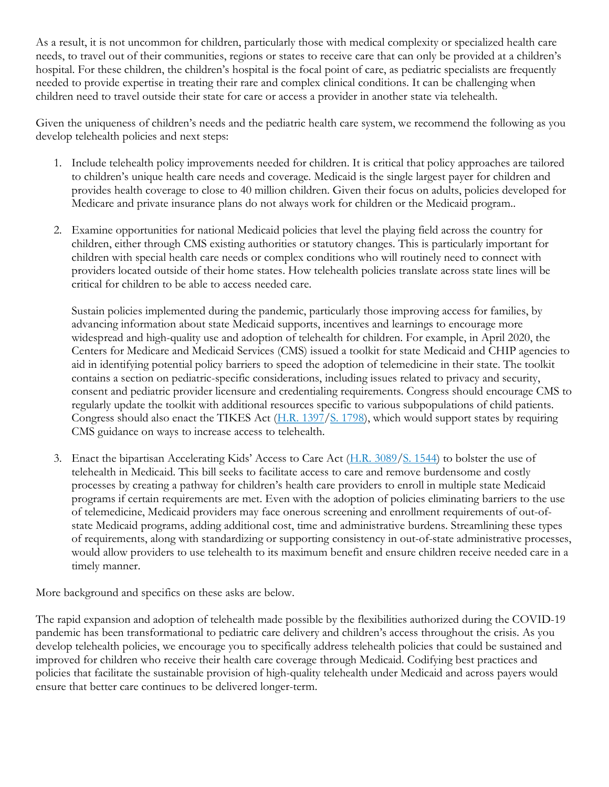As a result, it is not uncommon for children, particularly those with medical complexity or specialized health care needs, to travel out of their communities, regions or states to receive care that can only be provided at a children's hospital. For these children, the children's hospital is the focal point of care, as pediatric specialists are frequently needed to provide expertise in treating their rare and complex clinical conditions. It can be challenging when children need to travel outside their state for care or access a provider in another state via telehealth.

Given the uniqueness of children's needs and the pediatric health care system, we recommend the following as you develop telehealth policies and next steps:

- 1. Include telehealth policy improvements needed for children. It is critical that policy approaches are tailored to children's unique health care needs and coverage. Medicaid is the single largest payer for children and provides health coverage to close to 40 million children. Given their focus on adults, policies developed for Medicare and private insurance plans do not always work for children or the Medicaid program..
- 2. Examine opportunities for national Medicaid policies that level the playing field across the country for children, either through CMS existing authorities or statutory changes. This is particularly important for children with special health care needs or complex conditions who will routinely need to connect with providers located outside of their home states. How telehealth policies translate across state lines will be critical for children to be able to access needed care.

Sustain policies implemented during the pandemic, particularly those improving access for families, by advancing information about state Medicaid supports, incentives and learnings to encourage more widespread and high-quality use and adoption of telehealth for children. For example, in April 2020, the Centers for Medicare and Medicaid Services (CMS) issued a toolkit for state Medicaid and CHIP agencies to aid in identifying potential policy barriers to speed the adoption of telemedicine in their state. The toolkit contains a section on pediatric-specific considerations, including issues related to privacy and security, consent and pediatric provider licensure and credentialing requirements. Congress should encourage CMS to regularly update the toolkit with additional resources specific to various subpopulations of child patients. Congress should also enact the TIKES Act (H.R. 1397/S. 1798), which would support states by requiring CMS guidance on ways to increase access to telehealth.

3. Enact the bipartisan Accelerating Kids' Access to Care Act (H.R. 3089/S. 1544) to bolster the use of telehealth in Medicaid. This bill seeks to facilitate access to care and remove burdensome and costly processes by creating a pathway for children's health care providers to enroll in multiple state Medicaid programs if certain requirements are met. Even with the adoption of policies eliminating barriers to the use of telemedicine, Medicaid providers may face onerous screening and enrollment requirements of out-ofstate Medicaid programs, adding additional cost, time and administrative burdens. Streamlining these types of requirements, along with standardizing or supporting consistency in out-of-state administrative processes, would allow providers to use telehealth to its maximum benefit and ensure children receive needed care in a timely manner.

More background and specifics on these asks are below.

The rapid expansion and adoption of telehealth made possible by the flexibilities authorized during the COVID-19 pandemic has been transformational to pediatric care delivery and children's access throughout the crisis. As you develop telehealth policies, we encourage you to specifically address telehealth policies that could be sustained and improved for children who receive their health care coverage through Medicaid. Codifying best practices and policies that facilitate the sustainable provision of high-quality telehealth under Medicaid and across payers would ensure that better care continues to be delivered longer-term.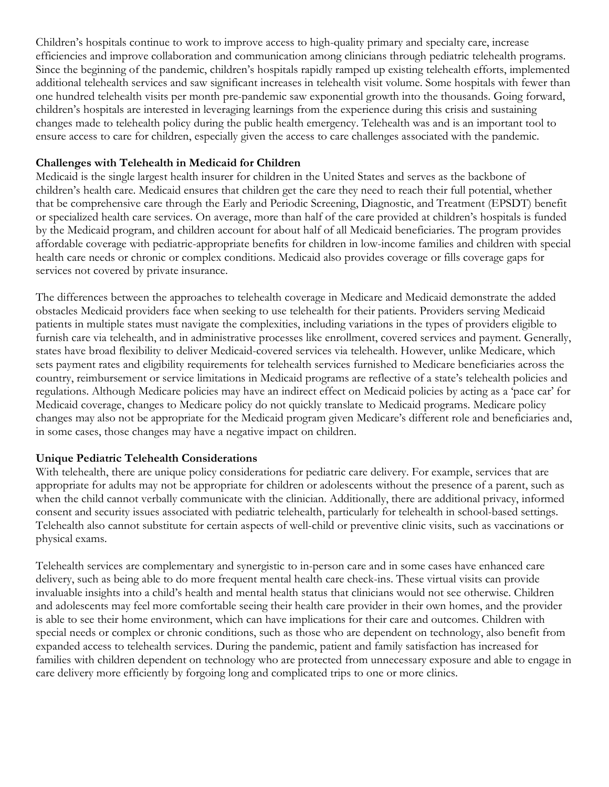Children's hospitals continue to work to improve access to high-quality primary and specialty care, increase efficiencies and improve collaboration and communication among clinicians through pediatric telehealth programs. Since the beginning of the pandemic, children's hospitals rapidly ramped up existing telehealth efforts, implemented additional telehealth services and saw significant increases in telehealth visit volume. Some hospitals with fewer than one hundred telehealth visits per month pre-pandemic saw exponential growth into the thousands. Going forward, children's hospitals are interested in leveraging learnings from the experience during this crisis and sustaining changes made to telehealth policy during the public health emergency. Telehealth was and is an important tool to ensure access to care for children, especially given the access to care challenges associated with the pandemic.

## Challenges with Telehealth in Medicaid for Children

Medicaid is the single largest health insurer for children in the United States and serves as the backbone of children's health care. Medicaid ensures that children get the care they need to reach their full potential, whether that be comprehensive care through the Early and Periodic Screening, Diagnostic, and Treatment (EPSDT) benefit or specialized health care services. On average, more than half of the care provided at children's hospitals is funded by the Medicaid program, and children account for about half of all Medicaid beneficiaries. The program provides affordable coverage with pediatric-appropriate benefits for children in low-income families and children with special health care needs or chronic or complex conditions. Medicaid also provides coverage or fills coverage gaps for services not covered by private insurance.

The differences between the approaches to telehealth coverage in Medicare and Medicaid demonstrate the added obstacles Medicaid providers face when seeking to use telehealth for their patients. Providers serving Medicaid patients in multiple states must navigate the complexities, including variations in the types of providers eligible to furnish care via telehealth, and in administrative processes like enrollment, covered services and payment. Generally, states have broad flexibility to deliver Medicaid-covered services via telehealth. However, unlike Medicare, which sets payment rates and eligibility requirements for telehealth services furnished to Medicare beneficiaries across the country, reimbursement or service limitations in Medicaid programs are reflective of a state's telehealth policies and regulations. Although Medicare policies may have an indirect effect on Medicaid policies by acting as a 'pace car' for Medicaid coverage, changes to Medicare policy do not quickly translate to Medicaid programs. Medicare policy changes may also not be appropriate for the Medicaid program given Medicare's different role and beneficiaries and, in some cases, those changes may have a negative impact on children.

## Unique Pediatric Telehealth Considerations

With telehealth, there are unique policy considerations for pediatric care delivery. For example, services that are appropriate for adults may not be appropriate for children or adolescents without the presence of a parent, such as when the child cannot verbally communicate with the clinician. Additionally, there are additional privacy, informed consent and security issues associated with pediatric telehealth, particularly for telehealth in school-based settings. Telehealth also cannot substitute for certain aspects of well-child or preventive clinic visits, such as vaccinations or physical exams.

Telehealth services are complementary and synergistic to in-person care and in some cases have enhanced care delivery, such as being able to do more frequent mental health care check-ins. These virtual visits can provide invaluable insights into a child's health and mental health status that clinicians would not see otherwise. Children and adolescents may feel more comfortable seeing their health care provider in their own homes, and the provider is able to see their home environment, which can have implications for their care and outcomes. Children with special needs or complex or chronic conditions, such as those who are dependent on technology, also benefit from expanded access to telehealth services. During the pandemic, patient and family satisfaction has increased for families with children dependent on technology who are protected from unnecessary exposure and able to engage in care delivery more efficiently by forgoing long and complicated trips to one or more clinics.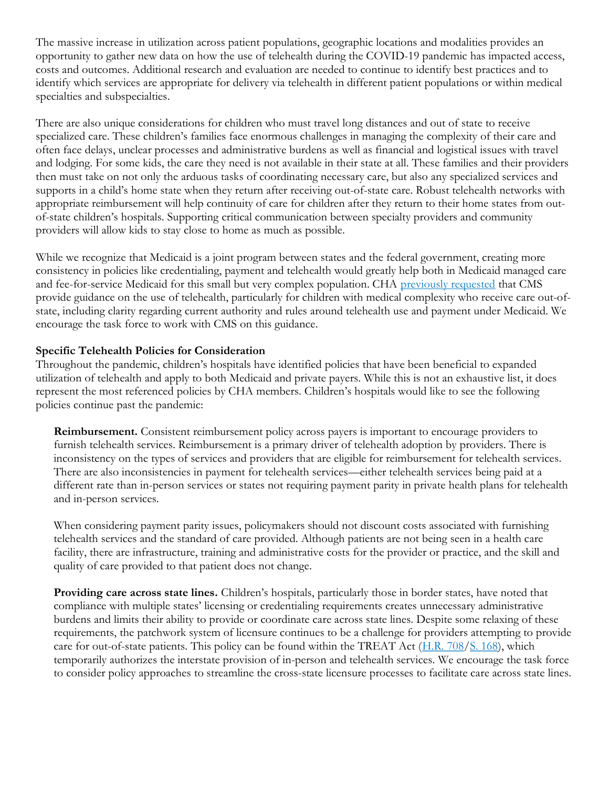The massive increase in utilization across patient populations, geographic locations and modalities provides an opportunity to gather new data on how the use of telehealth during the COVID-19 pandemic has impacted access, costs and outcomes. Additional research and evaluation are needed to continue to identify best practices and to identify which services are appropriate for delivery via telehealth in different patient populations or within medical specialties and subspecialties.

There are also unique considerations for children who must travel long distances and out of state to receive specialized care. These children's families face enormous challenges in managing the complexity of their care and often face delays, unclear processes and administrative burdens as well as financial and logistical issues with travel and lodging. For some kids, the care they need is not available in their state at all. These families and their providers then must take on not only the arduous tasks of coordinating necessary care, but also any specialized services and supports in a child's home state when they return after receiving out-of-state care. Robust telehealth networks with appropriate reimbursement will help continuity of care for children after they return to their home states from outof-state children's hospitals. Supporting critical communication between specialty providers and community providers will allow kids to stay close to home as much as possible.

While we recognize that Medicaid is a joint program between states and the federal government, creating more consistency in policies like credentialing, payment and telehealth would greatly help both in Medicaid managed care and fee-for-service Medicaid for this small but very complex population. CHA previously requested that CMS provide guidance on the use of telehealth, particularly for children with medical complexity who receive care out-ofstate, including clarity regarding current authority and rules around telehealth use and payment under Medicaid. We encourage the task force to work with CMS on this guidance.

## Specific Telehealth Policies for Consideration

Throughout the pandemic, children's hospitals have identified policies that have been beneficial to expanded utilization of telehealth and apply to both Medicaid and private payers. While this is not an exhaustive list, it does represent the most referenced policies by CHA members. Children's hospitals would like to see the following policies continue past the pandemic:

Reimbursement. Consistent reimbursement policy across payers is important to encourage providers to furnish telehealth services. Reimbursement is a primary driver of telehealth adoption by providers. There is inconsistency on the types of services and providers that are eligible for reimbursement for telehealth services. There are also inconsistencies in payment for telehealth services—either telehealth services being paid at a different rate than in-person services or states not requiring payment parity in private health plans for telehealth and in-person services.

When considering payment parity issues, policymakers should not discount costs associated with furnishing telehealth services and the standard of care provided. Although patients are not being seen in a health care facility, there are infrastructure, training and administrative costs for the provider or practice, and the skill and quality of care provided to that patient does not change.

Providing care across state lines. Children's hospitals, particularly those in border states, have noted that compliance with multiple states' licensing or credentialing requirements creates unnecessary administrative burdens and limits their ability to provide or coordinate care across state lines. Despite some relaxing of these requirements, the patchwork system of licensure continues to be a challenge for providers attempting to provide care for out-of-state patients. This policy can be found within the TREAT Act (H.R. 708/S. 168), which temporarily authorizes the interstate provision of in-person and telehealth services. We encourage the task force to consider policy approaches to streamline the cross-state licensure processes to facilitate care across state lines.